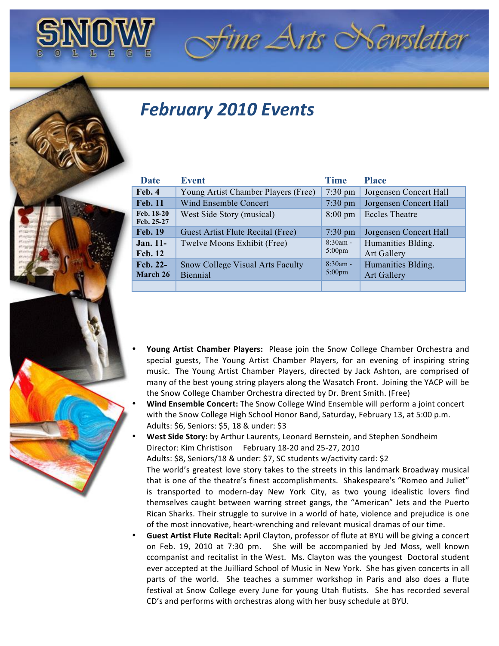

## **February 2010 Events**

| Date                         | <b>Event</b>                                        | <b>Time</b>                    | <b>Place</b>                             |
|------------------------------|-----------------------------------------------------|--------------------------------|------------------------------------------|
| Feb. 4                       | Young Artist Chamber Players (Free)                 | $7:30 \text{ pm}$              | Jorgensen Concert Hall                   |
| <b>Feb. 11</b>               | <b>Wind Ensemble Concert</b>                        | $7:30$ pm                      | Jorgensen Concert Hall                   |
| Feb. 18-20<br>Feb. 25-27     | West Side Story (musical)                           | $8:00 \text{ pm}$              | <b>Eccles Theatre</b>                    |
| <b>Feb. 19</b>               | Guest Artist Flute Recital (Free)                   | $7:30 \text{ pm}$              | Jorgensen Concert Hall                   |
| $Jan. 11-$<br><b>Feb. 12</b> | Twelve Moons Exhibit (Free)                         | $8:30am -$<br>$5:00 \text{pm}$ | Humanities Blding.<br><b>Art Gallery</b> |
| Feb. 22-<br>March 26         | <b>Snow College Visual Arts Faculty</b><br>Biennial | $8:30am -$<br>$5:00 \text{pm}$ | Humanities Blding.<br><b>Art Gallery</b> |
|                              |                                                     |                                |                                          |

fine Arts Newsletter

- Young Artist Chamber Players: Please join the Snow College Chamber Orchestra and special guests, The Young Artist Chamber Players, for an evening of inspiring string music. The Young Artist Chamber Players, directed by Jack Ashton, are comprised of many of the best young string players along the Wasatch Front. Joining the YACP will be the Snow College Chamber Orchestra directed by Dr. Brent Smith. (Free)
- **Wind Ensemble Concert:** The Snow College Wind Ensemble will perform a joint concert with the Snow College High School Honor Band, Saturday, February 13, at 5:00 p.m. Adults: \$6, Seniors: \$5, 18 & under: \$3

**West Side Story:** by Arthur Laurents, Leonard Bernstein, and Stephen Sondheim Director: Kim Christison February 18-20 and 25-27, 2010

Adults: \$8, Seniors/18 & under: \$7, SC students w/activity card: \$2

The world's greatest love story takes to the streets in this landmark Broadway musical that is one of the theatre's finest accomplishments. Shakespeare's "Romeo and Juliet" is transported to modern-day New York City, as two young idealistic lovers find themselves caught between warring street gangs, the "American" Jets and the Puerto Rican Sharks. Their struggle to survive in a world of hate, violence and prejudice is one of the most innovative, heart-wrenching and relevant musical dramas of our time.

**Guest Artist Flute Recital:** April Clayton, professor of flute at BYU will be giving a concert on Feb. 19, 2010 at 7:30 pm. She will be accompanied by Jed Moss, well known ccompanist and recitalist in the West. Ms. Clayton was the youngest Doctoral student ever accepted at the Juilliard School of Music in New York. She has given concerts in all parts of the world. She teaches a summer workshop in Paris and also does a flute festival at Snow College every June for young Utah flutists. She has recorded several CD's and performs with orchestras along with her busy schedule at BYU.